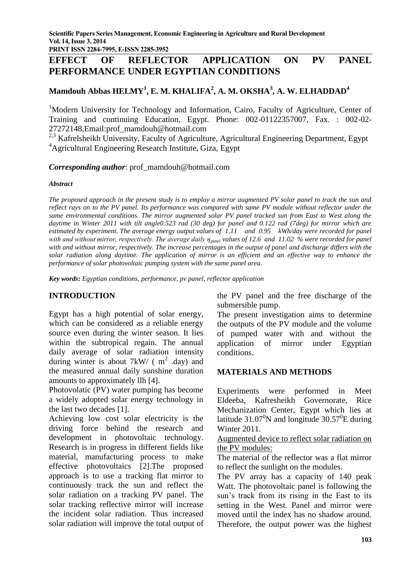**PRINT ISSN 2284-7995, E-ISSN 2285-3952**

# **EFFECT OF REFLECTOR APPLICATION ON PV PANEL PERFORMANCE UNDER EGYPTIAN CONDITIONS**

## **Mamdouh Abbas HELMY<sup>1</sup> , E. M. KHALIFA<sup>2</sup> , A. M. OKSHA<sup>3</sup> , A. W. ELHADDAD<sup>4</sup>**

<sup>1</sup>Modern University for Technology and Information, Cairo, Faculty of Agriculture, Center of Training and continuing Education, Egypt. Phone: 002-01122357007, Fax. : 002-02- 27272148,Email:prof\_mamdouh@hotmail.com

<sup>2,3</sup> Kafrelsheikh University, Faculty of Agriculture, Agricultural Engineering Department, Egypt <sup>4</sup>Agricultural Engineering Research Institute, Giza, Egypt

*Corresponding author*: prof\_mamdouh@hotmail.com

#### *Abstract*

*The proposed approach in the present study is to employ a mirror augmented PV solar panel to track the sun and reflect rays on to the PV panel. Its performance was compared with same PV module without reflector under the same environmental conditions. The mirror augmented solar PV panel tracked sun from East to West along the daytime in Winter 2011 with tilt angle0.523 rad (30 deg) for panel and 0.122 rad (7deg) for mirror which are estimated by experiment. The average energy output values of 1.11 and 0.95 kWh/day were recorded for panel with and without mirror, respectively. The average daily ηpanel values of 12.6 and 11.02 % were recorded for panel with and without mirror, respectively. The increase percentages in the output of panel and discharge differs with the solar radiation along daytime. The application of mirror is an efficient and an effective way to enhance the performance of solar photovoltaic pumping system with the same panel area.*

*Key words***:** *Egyptian conditions, performance, pv panel, reflector application*

### **INTRODUCTION**

Egypt has a high potential of solar energy, which can be considered as a reliable energy source even during the winter season. It lies within the subtropical regain. The annual daily average of solar radiation intensity during winter is about 7kW/  $(m^2 \text{ day})$  and the measured annual daily sunshine duration amounts to approximately llh [4].

Photovolatic (PV) water pumping has become a widely adopted solar energy technology in the last two decades [1].

Achieving low cost solar electricity is the driving force behind the research and development in photovoltaic technology. Research is in progress in different fields like material, manufacturing process to make effective photovoltaics [2].The proposed approach is to use a tracking flat mirror to continuously track the sun and reflect the solar radiation on a tracking PV panel. The solar tracking reflective mirror will increase the incident solar radiation. Thus increased solar radiation will improve the total output of

the PV panel and the free discharge of the submersible pump.

The present investigation aims to determine the outputs of the PV module and the volume of pumped water with and without the application of mirror under Egyptian conditions.

### **MATERIALS AND METHODS**

Experiments were performed in Meet Eldeeba, Kafresheikh Governorate, Rice Mechanization Center, Egypt which lies at latitude 31.07 $\mathrm{^0N}$  and longitude 30.57 $\mathrm{^0E}$  during Winter 2011.

Augmented device to reflect solar radiation on the PV modules:

The material of the reflector was a flat mirror to reflect the sunlight on the modules.

The PV array has a capacity of 140 peak Watt. The photovoltaic panel is following the sun's track from its rising in the East to its setting in the West. Panel and mirror were moved until the index has no shadow around. Therefore, the output power was the highest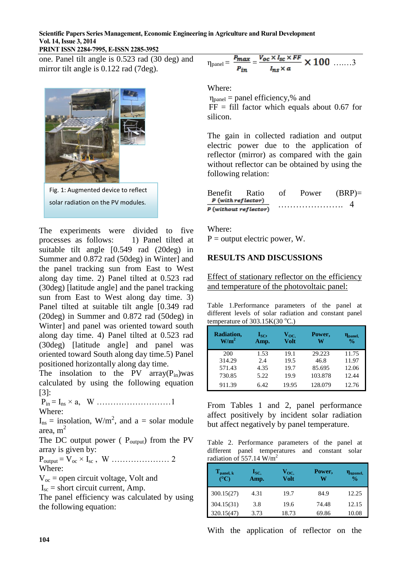### **Scientific Papers Series Management, Economic Engineering in Agriculture and Rural Development Vol. 14, Issue 3, 2014**

### **PRINT ISSN 2284-7995, E-ISSN 2285-3952**

one. Panel tilt angle is 0.523 rad (30 deg) and mirror tilt angle is 0.122 rad (7deg).



solar radiation on the PV modules.

The experiments were divided to five processes as follows: 1) Panel tilted at suitable tilt angle [0.549 rad (20deg) in Summer and 0.872 rad (50deg) in Winter] and the panel tracking sun from East to West along day time. 2) Panel tilted at 0.523 rad (30deg) [latitude angle] and the panel tracking sun from East to West along day time. 3) Panel tilted at suitable tilt angle [0.349 rad (20deg) in Summer and 0.872 rad (50deg) in Winter] and panel was oriented toward south along day time. 4) Panel tilted at 0.523 rad (30deg) [latitude angle] and panel was oriented toward South along day time.5) Panel positioned horizontally along day time.

The insolation to the PV array $(P_{in})$ was calculated by using the following equation [3]:

Pin = Ins × a, W ………………………1 Where:

 $I_{ns}$  = insolation, W/m<sup>2</sup>, and a = solar module area, m 2

The DC output power (  $P_{\text{output}}$ ) from the PV array is given by:

Poutput = Voc × Isc , W ………………… 2 Where:

 $V_{oc}$  = open circuit voltage, Volt and

 $I_{\rm sc}$  = short circuit current, Amp.

The panel efficiency was calculated by using the following equation:

$$
\eta_{\text{panel}} = \frac{P_{max}}{P_{in}} = \frac{V_{oc} \times I_{sc} \times FF}{I_{ns} \times a} \times 100 \quad \dots \dots \, 3
$$

Where:

 $\eta_{\text{panel}} =$  panel efficiency,% and

 $FF = fill factor which equals about 0.67 for$ silicon.

The gain in collected radiation and output electric power due to the application of reflector (mirror) as compared with the gain without reflector can be obtained by using the following relation:

| Benefit            | Ratio                 | οf | Power | $(BRP)$ = |
|--------------------|-----------------------|----|-------|-----------|
| P (with reflector) |                       |    |       |           |
|                    | P (without reflector) |    |       |           |

Where:

 $P =$  output electric power, W.

### **RESULTS AND DISCUSSIONS**

Effect of stationary reflector on the efficiency and temperature of the photovoltaic panel:

Table 1.Performance parameters of the panel at different levels of solar radiation and constant panel temperature of  $303.15K(30 °C)$ .

| Radiation,<br>W/m <sup>2</sup> | $I_{SC}$<br>Amp. | $\mathbf{V_{OC.}}$<br><b>Volt</b> | Power,<br>w | n <sub>panel</sub><br>$\frac{0}{0}$ |
|--------------------------------|------------------|-----------------------------------|-------------|-------------------------------------|
| 200                            | 1.53             | 19.1                              | 29.223      | 11.75                               |
| 314.29                         | 2.4              | 19.5                              | 46.8        | 11.97                               |
| 571.43                         | 4.35             | 19.7                              | 85.695      | 12.06                               |
| 730.85                         | 5.22             | 19.9                              | 103.878     | 12.44                               |
| 911.39                         | 6.42             | 19.95                             | 128.079     | 12.76                               |

From Tables 1 and 2, panel performance affect positively by incident solar radiation but affect negatively by panel temperature.

Table 2. Performance parameters of the panel at different panel temperatures and constant solar radiation of 557.14  $W/m^2$ 

| $T_{\text{panel, k}}$ | $I_{SC}$<br>Amp. | $\mathbf{V_{OC.}}$<br>Volt | Power,<br>W | <b>n</b> <sub>npanel</sub><br>$\frac{0}{0}$ |
|-----------------------|------------------|----------------------------|-------------|---------------------------------------------|
| 300.15(27)            | 4.31             | 19.7                       | 84.9        | 12.25                                       |
| 304.15(31)            | 3.8              | 19.6                       | 74.48       | 12.15                                       |
| 320.15(47)            | 3.73             | 18.73                      | 69.86       | 10.08                                       |

With the application of reflector on the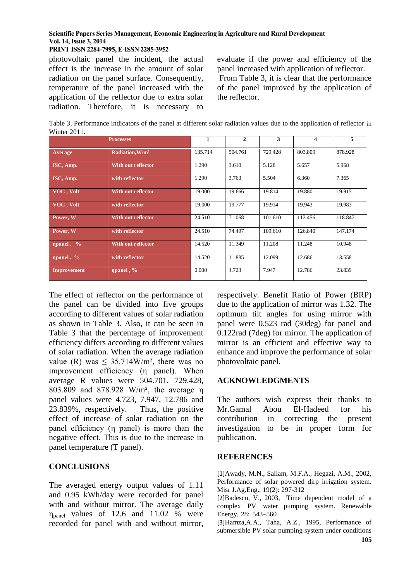#### **Scientific Papers Series Management, Economic Engineering in Agriculture and Rural Development Vol. 14, Issue 3, 2014**

**PRINT ISSN 2284-7995, E-ISSN 2285-3952**

photovoltaic panel the incident, the actual effect is the increase in the amount of solar radiation on the panel surface. Consequently, temperature of the panel increased with the application of the reflector due to extra solar radiation. Therefore, it is necessary to evaluate if the power and efficiency of the panel increased with application of reflector. From Table 3, it is clear that the performance of the panel improved by the application of the reflector.

Table 3. Performance indicators of the panel at different solar radiation values due to the application of reflector in Winter 2011.

| <b>Processes</b>      |                             |         | 2       | 3       | 4       | 5       |
|-----------------------|-----------------------------|---------|---------|---------|---------|---------|
| Average               | Radiation, W/m <sup>2</sup> | 135.714 | 504.761 | 729.428 | 803.809 | 878.928 |
| ISC, Amp.             | With out reflector          | 1.290   | 3.610   | 5.128   | 5.657   | 5.968   |
| ISC, Amp.             | with reflector              | 1.290   | 3.763   | 5.504   | 6.360   | 7.365   |
| VOC, Volt             | With out reflector          | 19.000  | 19.666  | 19.814  | 19.880  | 19.915  |
| VOC, Volt             | with reflector              | 19.000  | 19.777  | 19.914  | 19.943  | 19.983  |
| Power, W              | With out reflector          | 24.510  | 71.068  | 101.610 | 112.456 | 118.847 |
| Power, W              | with reflector              | 24.510  | 74.497  | 109.610 | 126.840 | 147.174 |
| $\eta$ npanel, %      | With out reflector          | 14.520  | 11.349  | 11.208  | 11.248  | 10.948  |
| $\sqrt{npanel, %y_p}$ | with reflector              | 14.520  | 11.885  | 12.099  | 12.686  | 13.558  |
| Improvement           | npanel, $%$                 | 0.000   | 4.723   | 7.947   | 12.786  | 23.839  |

The effect of reflector on the performance of the panel can be divided into five groups according to different values of solar radiation as shown in Table 3. Also, it can be seen in Table 3 that the percentage of improvement efficiency differs according to different values of solar radiation. When the average radiation value (R) was  $\leq 35.714W/m^2$ , there was no improvement efficiency (η panel). When average R values were 504.701, 729.428, 803.809 and 878.928 W/m², the average η panel values were 4.723, 7.947, 12.786 and 23.839%, respectively. Thus, the positive effect of increase of solar radiation on the panel efficiency (η panel) is more than the negative effect. This is due to the increase in panel temperature (T panel).

#### **CONCLUSIONS**

The averaged energy output values of 1.11 and 0.95 kWh/day were recorded for panel with and without mirror. The average daily ηpanel values of 12.6 and 11.02 % were recorded for panel with and without mirror,

respectively. Benefit Ratio of Power (BRP) due to the application of mirror was 1.32. The optimum tilt angles for using mirror with panel were 0.523 rad (30deg) for panel and 0.122rad (7deg) for mirror. The application of mirror is an efficient and effective way to enhance and improve the performance of solar photovoltaic panel.

#### **ACKNOWLEDGMENTS**

The authors wish express their thanks to Mr.Gamal Abou El-Hadeed for his contribution in correcting the present investigation to be in proper form for publication.

#### **REFERENCES**

[1]Awady, M.N., Sallam, M.F.A., Hegazi, A.M., 2002, Performance of solar powered dirp irrigation system. Misr J.Ag.Eng., 19(2): 297-312

[2]Badescu, V., 2003, Time dependent model of a complex PV water pumping system. Renewable Energy, 28: 543–560

[3]Hamza,A.A., Taha, A.Z., 1995, Performance of submersible PV solar pumping system under conditions